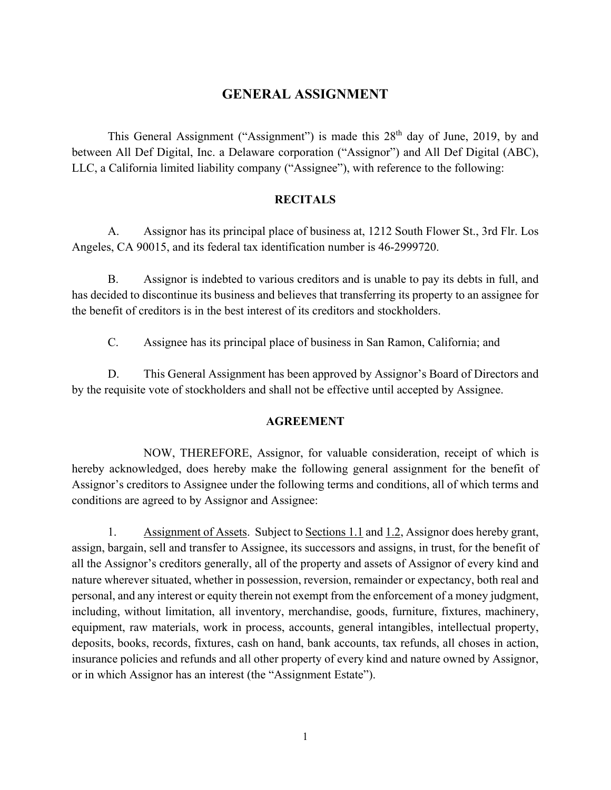## **GENERAL ASSIGNMENT**

This General Assignment ("Assignment") is made this 28<sup>th</sup> day of June, 2019, by and between All Def Digital, Inc. a Delaware corporation ("Assignor") and All Def Digital (ABC), LLC, a California limited liability company ("Assignee"), with reference to the following:

## **RECITALS**

 A. Assignor has its principal place of business at, 1212 South Flower St., 3rd Flr. Los Angeles, CA 90015, and its federal tax identification number is 46-2999720.

 B. Assignor is indebted to various creditors and is unable to pay its debts in full, and has decided to discontinue its business and believes that transferring its property to an assignee for the benefit of creditors is in the best interest of its creditors and stockholders.

C. Assignee has its principal place of business in San Ramon, California; and

 D. This General Assignment has been approved by Assignor's Board of Directors and by the requisite vote of stockholders and shall not be effective until accepted by Assignee.

## **AGREEMENT**

 NOW, THEREFORE, Assignor, for valuable consideration, receipt of which is hereby acknowledged, does hereby make the following general assignment for the benefit of Assignor's creditors to Assignee under the following terms and conditions, all of which terms and conditions are agreed to by Assignor and Assignee:

1. Assignment of Assets. Subject to Sections 1.1 and 1.2, Assignor does hereby grant, assign, bargain, sell and transfer to Assignee, its successors and assigns, in trust, for the benefit of all the Assignor's creditors generally, all of the property and assets of Assignor of every kind and nature wherever situated, whether in possession, reversion, remainder or expectancy, both real and personal, and any interest or equity therein not exempt from the enforcement of a money judgment, including, without limitation, all inventory, merchandise, goods, furniture, fixtures, machinery, equipment, raw materials, work in process, accounts, general intangibles, intellectual property, deposits, books, records, fixtures, cash on hand, bank accounts, tax refunds, all choses in action, insurance policies and refunds and all other property of every kind and nature owned by Assignor, or in which Assignor has an interest (the "Assignment Estate").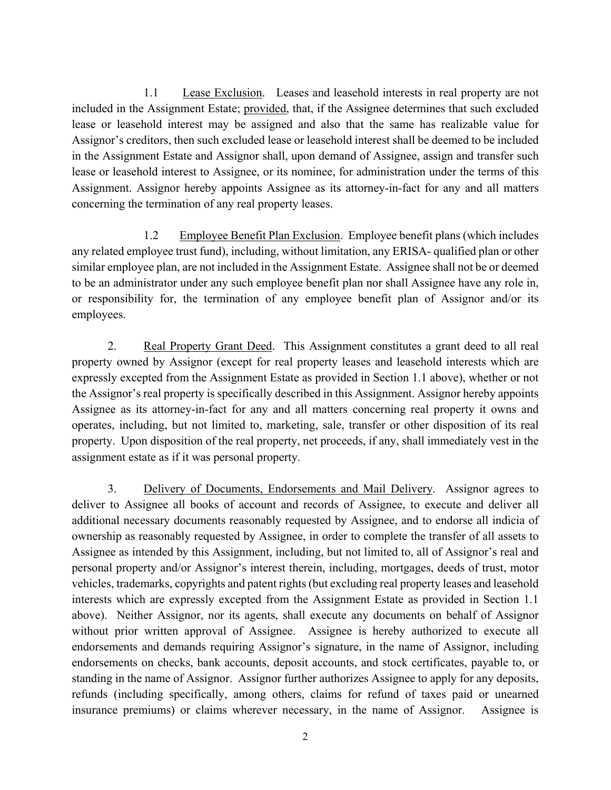1.1 Lease Exclusion. Leases and leasehold interests in real property are not included in the Assignment Estate; provided, that, if the Assignee determines that such excluded lease or leasehold interest may be assigned and also that the same has realizable value for Assignor's creditors, then such excluded lease or leasehold interest shall be deemed to be included in the Assignment Estate and Assignor shall, upon demand of Assignee, assign and transfer such lease or leasehold interest to Assignee, or its nominee, for administration under the terms of this Assignment. Assignor hereby appoints Assignee as its attorney-in-fact for any and all matters concerning the termination of any real property leases.

1.2 Employee Benefit Plan Exclusion. Employee benefit plans (which includes any related employee trust fund), including, without limitation, any ERISA- qualified plan or other similar employee plan, are not included in the Assignment Estate. Assignee shall not be or deemed to be an administrator under any such employee benefit plan nor shall Assignee have any role in, or responsibility for, the termination of any employee benefit plan of Assignor and/or its employees.

2. Real Property Grant Deed. This Assignment constitutes a grant deed to all real property owned by Assignor (except for real property leases and leasehold interests which are expressly excepted from the Assignment Estate as provided in Section 1.1 above), whether or not the Assignor's real property is specifically described in this Assignment. Assignor hereby appoints Assignee as its attorney-in-fact for any and all matters concerning real property it owns and operates, including, but not limited to, marketing, sale, transfer or other disposition of its real property. Upon disposition of the real property, net proceeds, if any, shall immediately vest in the assignment estate as if it was personal property.

3. Delivery of Documents, Endorsements and Mail Delivery. Assignor agrees to deliver to Assignee all books of account and records of Assignee, to execute and deliver all additional necessary documents reasonably requested by Assignee, and to endorse all indicia of ownership as reasonably requested by Assignee, in order to complete the transfer of all assets to Assignee as intended by this Assignment, including, but not limited to, all of Assignor's real and personal property and/or Assignor's interest therein, including, mortgages, deeds of trust, motor vehicles, trademarks, copyrights and patent rights (but excluding real property leases and leasehold interests which are expressly excepted from the Assignment Estate as provided in Section 1.1 above). Neither Assignor, nor its agents, shall execute any documents on behalf of Assignor without prior written approval of Assignee. Assignee is hereby authorized to execute all endorsements and demands requiring Assignor's signature, in the name of Assignor, including endorsements on checks, bank accounts, deposit accounts, and stock certificates, payable to, or standing in the name of Assignor. Assignor further authorizes Assignee to apply for any deposits, refunds (including specifically, among others, claims for refund of taxes paid or unearned insurance premiums) or claims wherever necessary, in the name of Assignor. Assignee is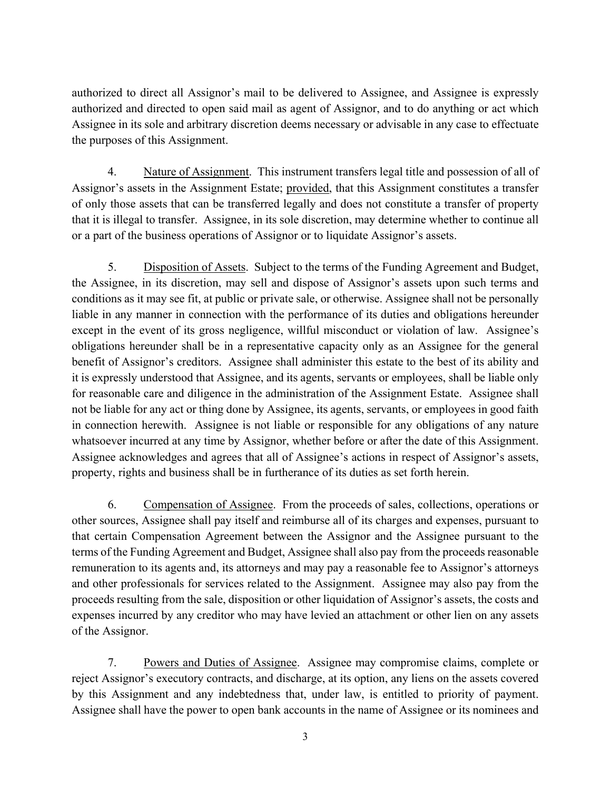authorized to direct all Assignor's mail to be delivered to Assignee, and Assignee is expressly authorized and directed to open said mail as agent of Assignor, and to do anything or act which Assignee in its sole and arbitrary discretion deems necessary or advisable in any case to effectuate the purposes of this Assignment.

4. Nature of Assignment. This instrument transfers legal title and possession of all of Assignor's assets in the Assignment Estate; provided, that this Assignment constitutes a transfer of only those assets that can be transferred legally and does not constitute a transfer of property that it is illegal to transfer. Assignee, in its sole discretion, may determine whether to continue all or a part of the business operations of Assignor or to liquidate Assignor's assets.

5. Disposition of Assets. Subject to the terms of the Funding Agreement and Budget, the Assignee, in its discretion, may sell and dispose of Assignor's assets upon such terms and conditions as it may see fit, at public or private sale, or otherwise. Assignee shall not be personally liable in any manner in connection with the performance of its duties and obligations hereunder except in the event of its gross negligence, willful misconduct or violation of law. Assignee's obligations hereunder shall be in a representative capacity only as an Assignee for the general benefit of Assignor's creditors. Assignee shall administer this estate to the best of its ability and it is expressly understood that Assignee, and its agents, servants or employees, shall be liable only for reasonable care and diligence in the administration of the Assignment Estate. Assignee shall not be liable for any act or thing done by Assignee, its agents, servants, or employees in good faith in connection herewith. Assignee is not liable or responsible for any obligations of any nature whatsoever incurred at any time by Assignor, whether before or after the date of this Assignment. Assignee acknowledges and agrees that all of Assignee's actions in respect of Assignor's assets, property, rights and business shall be in furtherance of its duties as set forth herein.

6. Compensation of Assignee. From the proceeds of sales, collections, operations or other sources, Assignee shall pay itself and reimburse all of its charges and expenses, pursuant to that certain Compensation Agreement between the Assignor and the Assignee pursuant to the terms of the Funding Agreement and Budget, Assignee shall also pay from the proceeds reasonable remuneration to its agents and, its attorneys and may pay a reasonable fee to Assignor's attorneys and other professionals for services related to the Assignment. Assignee may also pay from the proceeds resulting from the sale, disposition or other liquidation of Assignor's assets, the costs and expenses incurred by any creditor who may have levied an attachment or other lien on any assets of the Assignor.

7. Powers and Duties of Assignee. Assignee may compromise claims, complete or reject Assignor's executory contracts, and discharge, at its option, any liens on the assets covered by this Assignment and any indebtedness that, under law, is entitled to priority of payment. Assignee shall have the power to open bank accounts in the name of Assignee or its nominees and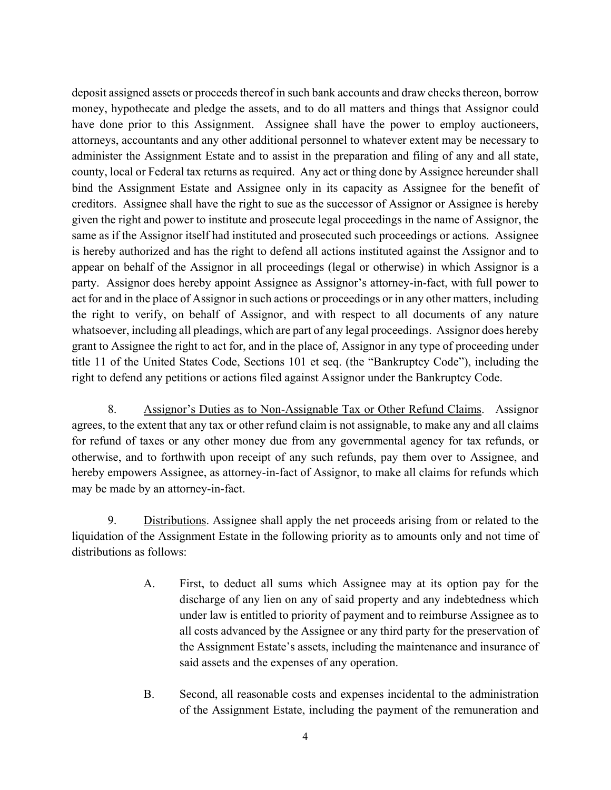deposit assigned assets or proceeds thereof in such bank accounts and draw checks thereon, borrow money, hypothecate and pledge the assets, and to do all matters and things that Assignor could have done prior to this Assignment. Assignee shall have the power to employ auctioneers, attorneys, accountants and any other additional personnel to whatever extent may be necessary to administer the Assignment Estate and to assist in the preparation and filing of any and all state, county, local or Federal tax returns as required. Any act or thing done by Assignee hereunder shall bind the Assignment Estate and Assignee only in its capacity as Assignee for the benefit of creditors. Assignee shall have the right to sue as the successor of Assignor or Assignee is hereby given the right and power to institute and prosecute legal proceedings in the name of Assignor, the same as if the Assignor itself had instituted and prosecuted such proceedings or actions. Assignee is hereby authorized and has the right to defend all actions instituted against the Assignor and to appear on behalf of the Assignor in all proceedings (legal or otherwise) in which Assignor is a party. Assignor does hereby appoint Assignee as Assignor's attorney-in-fact, with full power to act for and in the place of Assignor in such actions or proceedings or in any other matters, including the right to verify, on behalf of Assignor, and with respect to all documents of any nature whatsoever, including all pleadings, which are part of any legal proceedings. Assignor does hereby grant to Assignee the right to act for, and in the place of, Assignor in any type of proceeding under title 11 of the United States Code, Sections 101 et seq. (the "Bankruptcy Code"), including the right to defend any petitions or actions filed against Assignor under the Bankruptcy Code.

8. Assignor's Duties as to Non-Assignable Tax or Other Refund Claims. Assignor agrees, to the extent that any tax or other refund claim is not assignable, to make any and all claims for refund of taxes or any other money due from any governmental agency for tax refunds, or otherwise, and to forthwith upon receipt of any such refunds, pay them over to Assignee, and hereby empowers Assignee, as attorney-in-fact of Assignor, to make all claims for refunds which may be made by an attorney-in-fact.

9. Distributions. Assignee shall apply the net proceeds arising from or related to the liquidation of the Assignment Estate in the following priority as to amounts only and not time of distributions as follows:

- A. First, to deduct all sums which Assignee may at its option pay for the discharge of any lien on any of said property and any indebtedness which under law is entitled to priority of payment and to reimburse Assignee as to all costs advanced by the Assignee or any third party for the preservation of the Assignment Estate's assets, including the maintenance and insurance of said assets and the expenses of any operation.
- B. Second, all reasonable costs and expenses incidental to the administration of the Assignment Estate, including the payment of the remuneration and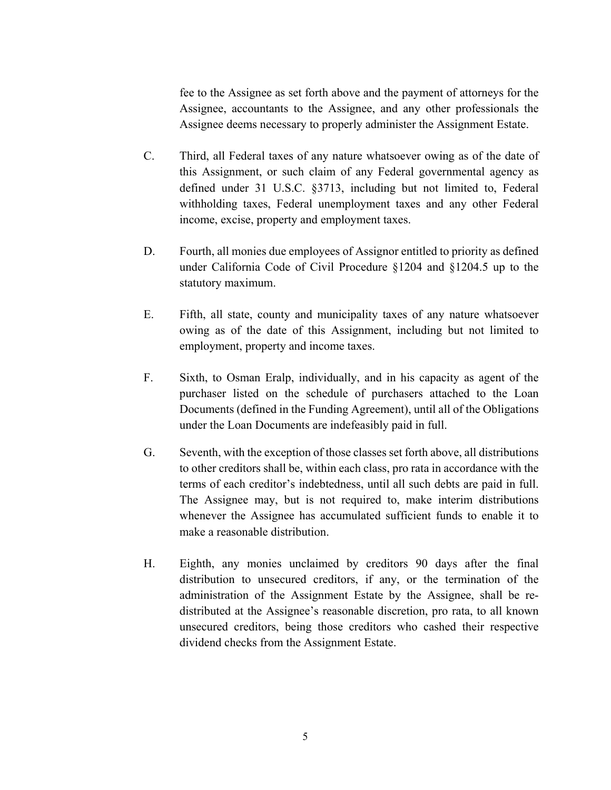fee to the Assignee as set forth above and the payment of attorneys for the Assignee, accountants to the Assignee, and any other professionals the Assignee deems necessary to properly administer the Assignment Estate.

- C. Third, all Federal taxes of any nature whatsoever owing as of the date of this Assignment, or such claim of any Federal governmental agency as defined under 31 U.S.C. §3713, including but not limited to, Federal withholding taxes, Federal unemployment taxes and any other Federal income, excise, property and employment taxes.
- D. Fourth, all monies due employees of Assignor entitled to priority as defined under California Code of Civil Procedure §1204 and §1204.5 up to the statutory maximum.
- E. Fifth, all state, county and municipality taxes of any nature whatsoever owing as of the date of this Assignment, including but not limited to employment, property and income taxes.
- F. Sixth, to Osman Eralp, individually, and in his capacity as agent of the purchaser listed on the schedule of purchasers attached to the Loan Documents (defined in the Funding Agreement), until all of the Obligations under the Loan Documents are indefeasibly paid in full.
- G. Seventh, with the exception of those classes set forth above, all distributions to other creditors shall be, within each class, pro rata in accordance with the terms of each creditor's indebtedness, until all such debts are paid in full. The Assignee may, but is not required to, make interim distributions whenever the Assignee has accumulated sufficient funds to enable it to make a reasonable distribution.
- H. Eighth, any monies unclaimed by creditors 90 days after the final distribution to unsecured creditors, if any, or the termination of the administration of the Assignment Estate by the Assignee, shall be redistributed at the Assignee's reasonable discretion, pro rata, to all known unsecured creditors, being those creditors who cashed their respective dividend checks from the Assignment Estate.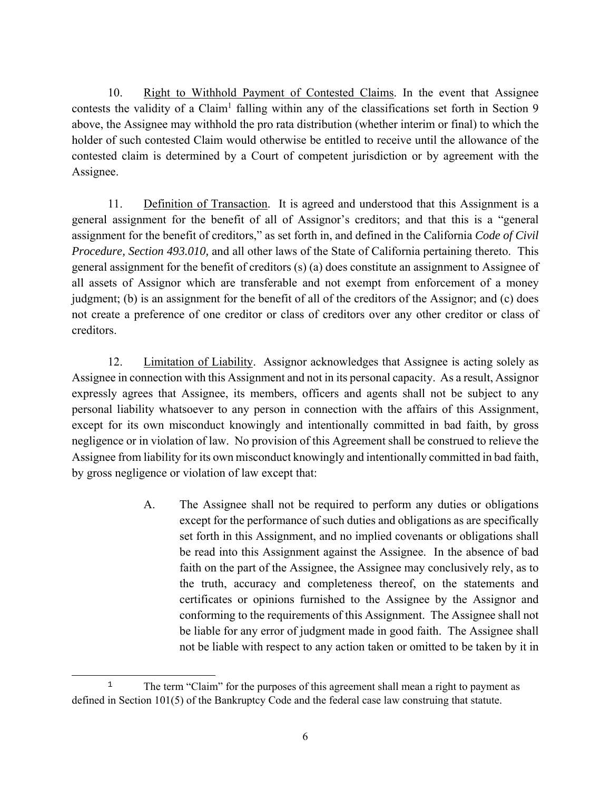10. Right to Withhold Payment of Contested Claims. In the event that Assignee contests the validity of a Claim<sup>1</sup> falling within any of the classifications set forth in Section 9 above, the Assignee may withhold the pro rata distribution (whether interim or final) to which the holder of such contested Claim would otherwise be entitled to receive until the allowance of the contested claim is determined by a Court of competent jurisdiction or by agreement with the Assignee.

11. Definition of Transaction. It is agreed and understood that this Assignment is a general assignment for the benefit of all of Assignor's creditors; and that this is a "general assignment for the benefit of creditors," as set forth in, and defined in the California *Code of Civil Procedure, Section 493.010,* and all other laws of the State of California pertaining thereto. This general assignment for the benefit of creditors (s) (a) does constitute an assignment to Assignee of all assets of Assignor which are transferable and not exempt from enforcement of a money judgment; (b) is an assignment for the benefit of all of the creditors of the Assignor; and (c) does not create a preference of one creditor or class of creditors over any other creditor or class of creditors.

12. Limitation of Liability. Assignor acknowledges that Assignee is acting solely as Assignee in connection with this Assignment and not in its personal capacity. As a result, Assignor expressly agrees that Assignee, its members, officers and agents shall not be subject to any personal liability whatsoever to any person in connection with the affairs of this Assignment, except for its own misconduct knowingly and intentionally committed in bad faith, by gross negligence or in violation of law. No provision of this Agreement shall be construed to relieve the Assignee from liability for its own misconduct knowingly and intentionally committed in bad faith, by gross negligence or violation of law except that:

> A. The Assignee shall not be required to perform any duties or obligations except for the performance of such duties and obligations as are specifically set forth in this Assignment, and no implied covenants or obligations shall be read into this Assignment against the Assignee. In the absence of bad faith on the part of the Assignee, the Assignee may conclusively rely, as to the truth, accuracy and completeness thereof, on the statements and certificates or opinions furnished to the Assignee by the Assignor and conforming to the requirements of this Assignment. The Assignee shall not be liable for any error of judgment made in good faith. The Assignee shall not be liable with respect to any action taken or omitted to be taken by it in

 $\overline{a}$ <sup>1</sup> The term "Claim" for the purposes of this agreement shall mean a right to payment as defined in Section 101(5) of the Bankruptcy Code and the federal case law construing that statute.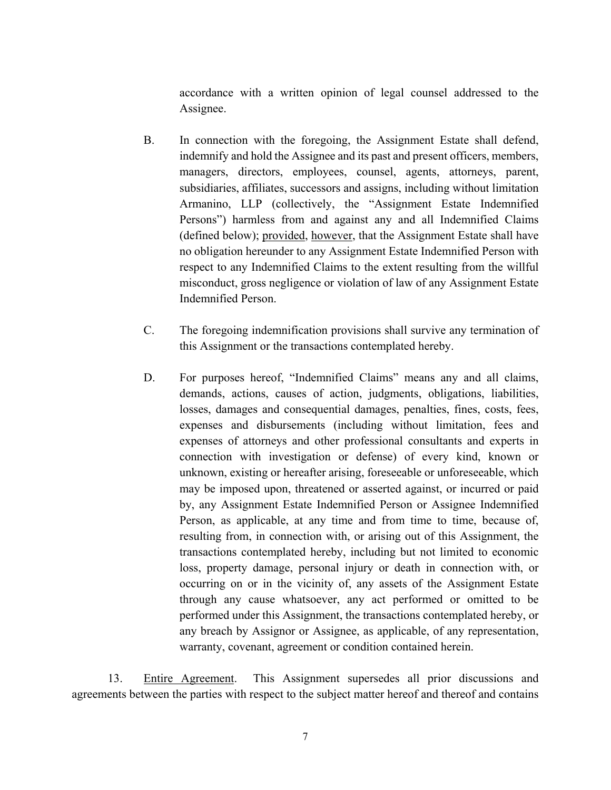accordance with a written opinion of legal counsel addressed to the Assignee.

- B. In connection with the foregoing, the Assignment Estate shall defend, indemnify and hold the Assignee and its past and present officers, members, managers, directors, employees, counsel, agents, attorneys, parent, subsidiaries, affiliates, successors and assigns, including without limitation Armanino, LLP (collectively, the "Assignment Estate Indemnified Persons") harmless from and against any and all Indemnified Claims (defined below); provided, however, that the Assignment Estate shall have no obligation hereunder to any Assignment Estate Indemnified Person with respect to any Indemnified Claims to the extent resulting from the willful misconduct, gross negligence or violation of law of any Assignment Estate Indemnified Person.
- C. The foregoing indemnification provisions shall survive any termination of this Assignment or the transactions contemplated hereby.
- D. For purposes hereof, "Indemnified Claims" means any and all claims, demands, actions, causes of action, judgments, obligations, liabilities, losses, damages and consequential damages, penalties, fines, costs, fees, expenses and disbursements (including without limitation, fees and expenses of attorneys and other professional consultants and experts in connection with investigation or defense) of every kind, known or unknown, existing or hereafter arising, foreseeable or unforeseeable, which may be imposed upon, threatened or asserted against, or incurred or paid by, any Assignment Estate Indemnified Person or Assignee Indemnified Person, as applicable, at any time and from time to time, because of, resulting from, in connection with, or arising out of this Assignment, the transactions contemplated hereby, including but not limited to economic loss, property damage, personal injury or death in connection with, or occurring on or in the vicinity of, any assets of the Assignment Estate through any cause whatsoever, any act performed or omitted to be performed under this Assignment, the transactions contemplated hereby, or any breach by Assignor or Assignee, as applicable, of any representation, warranty, covenant, agreement or condition contained herein.

13. Entire Agreement. This Assignment supersedes all prior discussions and agreements between the parties with respect to the subject matter hereof and thereof and contains